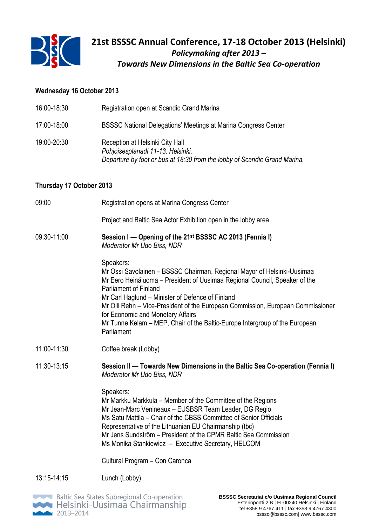

#### **Wednesday 16 October 2013**

| 16:00-18:30              | Registration open at Scandic Grand Marina                                                                                                                                                                                                                                                                                                                                                                                                                                   |
|--------------------------|-----------------------------------------------------------------------------------------------------------------------------------------------------------------------------------------------------------------------------------------------------------------------------------------------------------------------------------------------------------------------------------------------------------------------------------------------------------------------------|
| 17:00-18:00              | <b>BSSSC National Delegations' Meetings at Marina Congress Center</b>                                                                                                                                                                                                                                                                                                                                                                                                       |
| 19:00-20:30              | Reception at Helsinki City Hall<br>Pohjoisesplanadi 11-13, Helsinki.<br>Departure by foot or bus at 18:30 from the lobby of Scandic Grand Marina.                                                                                                                                                                                                                                                                                                                           |
| Thursday 17 October 2013 |                                                                                                                                                                                                                                                                                                                                                                                                                                                                             |
| 09:00                    | Registration opens at Marina Congress Center                                                                                                                                                                                                                                                                                                                                                                                                                                |
|                          | Project and Baltic Sea Actor Exhibition open in the lobby area                                                                                                                                                                                                                                                                                                                                                                                                              |
| 09:30-11:00              | Session I – Opening of the 21 <sup>st</sup> BSSSC AC 2013 (Fennia I)<br>Moderator Mr Udo Biss, NDR                                                                                                                                                                                                                                                                                                                                                                          |
|                          | Speakers:<br>Mr Ossi Savolainen - BSSSC Chairman, Regional Mayor of Helsinki-Uusimaa<br>Mr Eero Heinäluoma – President of Uusimaa Regional Council, Speaker of the<br><b>Parliament of Finland</b><br>Mr Carl Haglund - Minister of Defence of Finland<br>Mr Olli Rehn – Vice-President of the European Commission, European Commissioner<br>for Economic and Monetary Affairs<br>Mr Tunne Kelam – MEP, Chair of the Baltic-Europe Intergroup of the European<br>Parliament |
| 11:00-11:30              | Coffee break (Lobby)                                                                                                                                                                                                                                                                                                                                                                                                                                                        |
| 11:30-13:15              | Session II — Towards New Dimensions in the Baltic Sea Co-operation (Fennia I)<br>Moderator Mr Udo Biss, NDR                                                                                                                                                                                                                                                                                                                                                                 |
|                          | Speakers:<br>Mr Markku Markkula – Member of the Committee of the Regions<br>Mr Jean-Marc Venineaux - EUSBSR Team Leader, DG Regio<br>Ms Satu Mattila – Chair of the CBSS Committee of Senior Officials<br>Representative of the Lithuanian EU Chairmanship (tbc)<br>Mr Jens Sundström – President of the CPMR Baltic Sea Commission<br>Ms Monika Stankiewicz - Executive Secretary, HELCOM                                                                                  |
|                          | Cultural Program - Con Caronca                                                                                                                                                                                                                                                                                                                                                                                                                                              |
| 13:15-14:15              | Lunch (Lobby)                                                                                                                                                                                                                                                                                                                                                                                                                                                               |

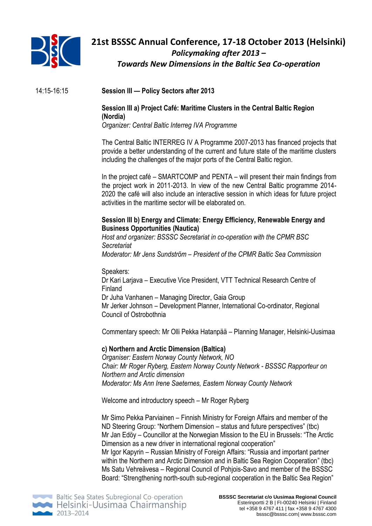

# **21st BSSSC Annual Conference, 17-18 October 2013 (Helsinki)** *Policymaking after 2013 – Towards New Dimensions in the Baltic Sea Co-operation*

14:15-16:15 **Session III — Policy Sectors after 2013**

### **Session III a) Project Café: Maritime Clusters in the Central Baltic Region (Nordia)**

*Organizer: Central Baltic Interreg IVA Programme*

The Central Baltic INTERREG IV A Programme 2007-2013 has financed projects that provide a better understanding of the current and future state of the maritime clusters including the challenges of the major ports of the Central Baltic region.

In the project café – SMARTCOMP and PENTA – will present their main findings from the project work in 2011-2013. In view of the new Central Baltic programme 2014- 2020 the café will also include an interactive session in which ideas for future project activities in the maritime sector will be elaborated on.

### **Session III b) Energy and Climate: Energy Efficiency, Renewable Energy and Business Opportunities (Nautica)**

*Host and organizer: BSSSC Secretariat in co-operation with the CPMR BSC Secretariat Moderator: Mr Jens Sundström* – *President of the CPMR Baltic Sea Commission*

Speakers:

Dr Kari Larjava – Executive Vice President, VTT Technical Research Centre of Finland

Dr Juha Vanhanen – Managing Director, Gaia Group

Mr Jerker Johnson – Development Planner, International Co-ordinator, Regional Council of Ostrobothnia

Commentary speech: Mr Olli Pekka Hatanpää – Planning Manager, Helsinki-Uusimaa

### **c) Northern and Arctic Dimension (Baltica)**

*Organiser: Eastern Norway County Network, NO Chair: Mr Roger Ryberg, Eastern Norway County Network - BSSSC Rapporteur on Northern and Arctic dimension Moderator: Ms Ann Irene Saeternes, Eastern Norway County Network* 

Welcome and introductory speech – Mr Roger Ryberg

Mr Simo Pekka Parviainen – Finnish Ministry for Foreign Affairs and member of the ND Steering Group: "Northern Dimension – status and future perspectives" (tbc) Mr Jan Edöy – Councillor at the Norwegian Mission to the EU in Brussels: "The Arctic Dimension as a new driver in international regional cooperation" Mr Igor Kapyrin – Russian Ministry of Foreign Affairs: "Russia and important partner within the Northern and Arctic Dimension and in Baltic Sea Region Cooperation" (tbc) Ms Satu Vehreävesa – Regional Council of Pohjois-Savo and member of the BSSSC Board: "Strengthening north-south sub-regional cooperation in the Baltic Sea Region"

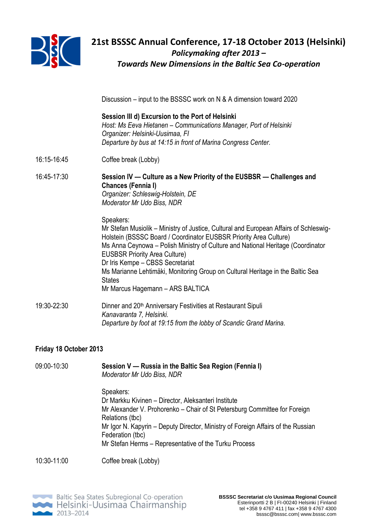

# **21st BSSSC Annual Conference, 17-18 October 2013 (Helsinki)** *Policymaking after 2013 – Towards New Dimensions in the Baltic Sea Co-operation*

Discussion – input to the BSSSC work on N & A dimension toward 2020

|             | Session III d) Excursion to the Port of Helsinki<br>Host: Ms Eeva Hietanen - Communications Manager, Port of Helsinki<br>Organizer: Helsinki-Uusimaa, FI<br>Departure by bus at 14:15 in front of Marina Congress Center.                                                                                                                                                                                                                                                     |
|-------------|-------------------------------------------------------------------------------------------------------------------------------------------------------------------------------------------------------------------------------------------------------------------------------------------------------------------------------------------------------------------------------------------------------------------------------------------------------------------------------|
| 16:15-16:45 | Coffee break (Lobby)                                                                                                                                                                                                                                                                                                                                                                                                                                                          |
| 16:45-17:30 | Session IV — Culture as a New Priority of the EUSBSR — Challenges and<br>Chances (Fennia I)<br>Organizer: Schleswig-Holstein, DE<br>Moderator Mr Udo Biss, NDR                                                                                                                                                                                                                                                                                                                |
|             | Speakers:<br>Mr Stefan Musiolik – Ministry of Justice, Cultural and European Affairs of Schleswig-<br>Holstein (BSSSC Board / Coordinator EUSBSR Priority Area Culture)<br>Ms Anna Ceynowa – Polish Ministry of Culture and National Heritage (Coordinator<br><b>EUSBSR Priority Area Culture)</b><br>Dr Iris Kempe - CBSS Secretariat<br>Ms Marianne Lehtimäki, Monitoring Group on Cultural Heritage in the Baltic Sea<br><b>States</b><br>Mr Marcus Hagemann - ARS BALTICA |
| 19:30-22:30 | Dinner and 20 <sup>th</sup> Anniversary Festivities at Restaurant Sipuli<br>Kanavaranta 7, Helsinki.<br>Departure by foot at 19:15 from the lobby of Scandic Grand Marina.                                                                                                                                                                                                                                                                                                    |

### **Friday 18 October 2013**

| Moderator Mr Udo Biss, NDR                                                                                                                                                       |
|----------------------------------------------------------------------------------------------------------------------------------------------------------------------------------|
| Speakers:<br>Dr Markku Kivinen - Director, Aleksanteri Institute<br>Mr Alexander V. Prohorenko - Chair of St Petersburg Committee for Foreign                                    |
| Relations (tbc)<br>Mr Igor N. Kapyrin - Deputy Director, Ministry of Foreign Affairs of the Russian<br>Federation (tbc)<br>Mr Stefan Herms - Representative of the Turku Process |
|                                                                                                                                                                                  |

09:00-10:30 **Session V — Russia in the Baltic Sea Region (Fennia I)**

10:30-11:00 Coffee break (Lobby)